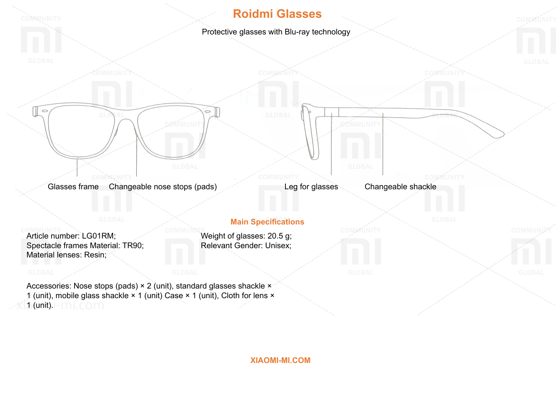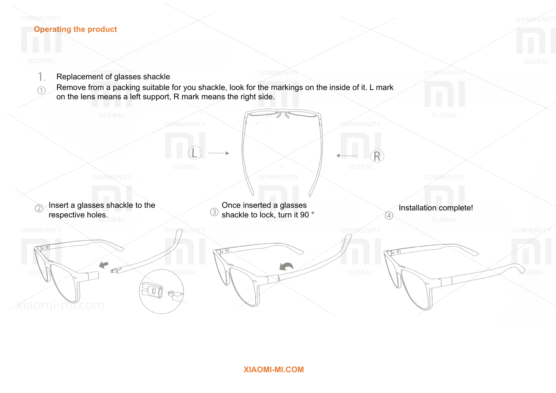# **Operating the product**

েল

iaomi-mf.com

COMMUNITY

1. Replacement of glasses shackle  $(1)$ 

Remove from a packing suitable for you shackle, look for the markings on the inside of it. L mark on the lens means a left support, R mark means the right side.

Insert a glasses shackle to the の respective holes.

COMMUNITY

Q

 $^{\circledR}$ 

Once inserted a glasses Once inserted a glasses Installation complete!<br>
shackle to lock, turn it 90 °  $\circled{3}$ 

**MAG** 

**COMMUNITY** 

COMMUNITY

COMMUNITY

COMMUNITY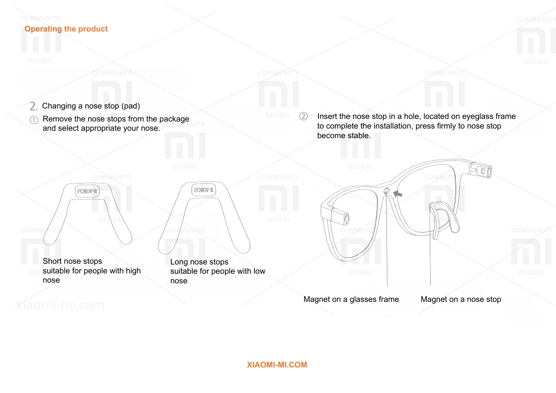### COMMUNITY **Operating the product**

- Changing a nose stop (pad) 2.
- Remove the nose stops from the package  $\bigcirc$ and select appropriate your nose.

Insert the nose stop in a hole, located on eyeglass frame to complete the installation, press firmly to nose stop become stable.

COMMÚNIT



2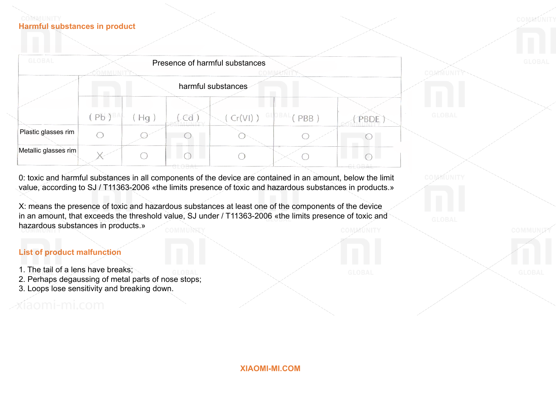#### COMMUNITY **Harmful substances in product**

| <b>GLOBAL</b><br>Presence of harmful substances |                               |    |              |          |              |      |
|-------------------------------------------------|-------------------------------|----|--------------|----------|--------------|------|
|                                                 | harmful substances            |    |              |          |              |      |
|                                                 | $'$ Pb $\theta$ <sup>BA</sup> | Hq | $\epsilon$ u | (Cr(VI)) | GLOBAL (PBB) |      |
| Plastic glasses rim                             |                               |    |              |          |              | PBDE |
| Metallic glasses rim                            |                               |    |              |          |              |      |

0: toxic and harmful substances in all components of the device are contained in an amount, below the limit value, according to SJ / T11363-2006 «the limits presence of toxic and hazardous substances in products.»

X: means the presence of toxic and hazardous substances at least one of the components of the device in an amount, that exceeds the threshold value, SJ under / T11363-2006 «the limits presence of toxic and hazardous substances in products.» **OMMUNITY** 

## **List of product malfunction**

- 1. The tail of a lens have breaks;
- 2. Perhaps degaussing of metal parts of nose stops;
- 3. Loops lose sensitivity and breaking down.

íaomi-mi.com

**XIAOMI-MI.COM**